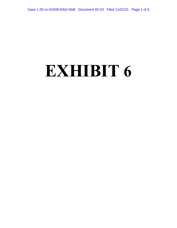## **EXHIBIT 6**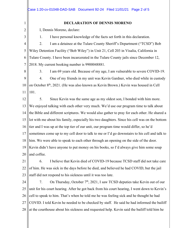|                | Case 1:20-cv-01048-DAD-SAB Document 92-24 Filed 11/01/21 Page 2 of 5                            |  |
|----------------|-------------------------------------------------------------------------------------------------|--|
| 1              | <b>DECLARATION OF DENNIS MORENO</b>                                                             |  |
| $\overline{2}$ | I, Dennis Moreno, declare:                                                                      |  |
| 3              | 1.<br>I have personal knowledge of the facts set forth in this declaration.                     |  |
| $\overline{4}$ | 2.<br>I am a detainee at the Tulare County Sheriff's Department ("TCSD") Bob                    |  |
| 5              | Wiley Detention Facility ("Bob Wiley") in Unit 21, Cell 203 in Visalia, California in           |  |
| 6              | Tulare County. I have been incarcerated in the Tulare County jails since December 12,           |  |
| 7              | 2018. My current booking number is 9900048881.                                                  |  |
| 8              | 3.<br>I am 69 years old. Because of my age, I am vulnerable to severe COVID-19.                 |  |
| 9              | 4.<br>One of my friends in my unit was Kevin Gardner, who died while in custody                 |  |
| 10             | on October 8 <sup>th</sup> , 2021. (He was also known as Kevin Brown.) Kevin was housed in Cell |  |
| 11             | 101.                                                                                            |  |
| 12             | 5.<br>Since Kevin was the same age as my oldest son, I bonded with him more.                    |  |
| 13             | We enjoyed talking with each other very much. We'd use our program time to talk about           |  |
| 14             | the Bible and different scriptures. We would also gather to pray for each other. He shared a    |  |
| 15             | lot with me about his family, especially his two daughters. Since his cell was on the bottom    |  |
|                | 16 tier and I was up at the top tier of our unit, our program time would differ, so he'd        |  |
| 17             | sometimes come up to my cell door to talk to me or I'd go downstairs to his cell and talk to    |  |
| 18             | him. We were able to speak to each other through an opening on the side of the door.            |  |
| 19             | Kevin didn't have anyone to put money on his books, so I'd always give him some soup            |  |
| 20             | and coffee.                                                                                     |  |
| 21             | I believe that Kevin died of COVID-19 because TCSD staff did not take care<br>6.                |  |
| 22             | of him. He was sick in the days before he died, and believed he had COVID, but the jail         |  |
| 23             | staff did not respond to his sickness until it was too late.                                    |  |
| 24             | On Thursday, October $7th$ , 2021, I saw TCSD deputies take Kevin out of our<br>7.              |  |
| 25             | unit for his court hearing. After he got back from his court hearing, I went down to Kevin's    |  |
| 26             | cell to speak to him. That's when he told me he was feeling sick and he thought he had          |  |

27 28 COVID. I told Kevin he needed to be checked by staff. He said he had informed the bailiff at the courthouse about his sickness and requested help. Kevin said the bailiff told him he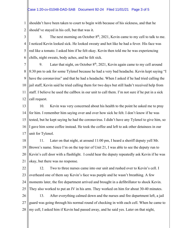1 2 shouldn't have been taken to court to begin with because of his sickness, and that he should've stayed in his cell, but that was it.

3 4 5 6 8. The next morning on October  $8<sup>th</sup>$ , 2021, Kevin came to my cell to talk to me. I noticed Kevin looked sick. He looked sweaty and hot like he had a fever. His face was red like a tomato. I asked him if he felt okay. Kevin then told me he was experiencing chills, night sweats, body aches, and he felt sick.

7 8 9 10 11 12 9. Later that night, on October  $8<sup>th</sup>$ , 2021, Kevin again came to my cell around 8:30 pm to ask for some Tylenol because he had a very bad headache. Kevin kept saying "I have the coronavirus" and that he had a headache. When I asked if he had tried calling the jail staff, Kevin said he tried calling them for two days but still hadn't received help from staff. I believe he used the callbox in our unit to call them. I'm not sure if he put in a sick call request.

13 14 15 16 17 10. Kevin was very concerned about his health to the point he asked me to pray for him. I remember him saying over and over how sick he felt. I don't know if he was tested, but he kept saying he had the coronavirus. I didn't have any Tylenol to give him, so I gave him some coffee instead. He took the coffee and left to ask other detainees in our unit for Tylenol.

18 19 20 21 11. Later on that night, at around 11:00 pm, I heard a sheriff deputy yell Mr. Brown's name. Since I'm on the top tier of Unit 21, I was able to see the deputy run to Kevin's cell door with a flashlight. I could hear the deputy repeatedly ask Kevin if he was okay, but there was no response.

22 23 24 25 12. Two to three nurses came into our unit and rushed over to Kevin's cell. I overheard one of them say Kevin's face was purple and he wasn't breathing. A few moments later, the fire department arrived and brought in a defibrillator to shock Kevin. They also worked to put an IV in his arm. They worked on him for about 30-40 minutes.

26 27 28 13. After everything calmed down and the nurses and fire department left, a jail guard was going through his normal round of checking in with each cell. When he came to my cell, I asked him if Kevin had passed away, and he said yes. Later on that night,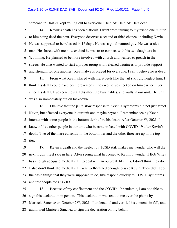## Case 1:20-cv-01048-DAD-SAB Document 92-24 Filed 11/01/21 Page 4 of 5

1 someone in Unit 21 kept yelling out to everyone "He died! He died! He's dead!"

2 3 4 5 6 7 8 14. Kevin's death has been difficult. I went from talking to my friend one minute to him being dead the next. Everyone deserves a second or third chance, including Kevin. He was supposed to be released in 16 days. He was a good-natured guy. He was a nice man. He shared with me how excited he was to re-connect with his two daughters in Wyoming. He planned to be more involved with church and wanted to preach in the streets. He also wanted to start a prayer group with released detainees to provide support and strength for one another. Kevin always prayed for everyone. I can't believe he is dead.

9 10 11 12 15. From what Kevin shared with me, it feels like the jail staff did neglect him. I think his death could have been prevented if they would've checked on him earlier. Ever since his death, I've seen the staff disinfect the bars, tables, and walls in our unit. The unit was also immediately put on lockdown.

13 14 15 16 17 18 16. I believe that the jail's slow response to Kevin's symptoms did not just affect Kevin, but affected everyone in our unit and maybe beyond. I remember seeing Kevin interact with some people in the bottom tier before his death. After October  $8<sup>th</sup>$ , 2021, I know of five other people in our unit who became infected with COVID-19 after Kevin's death. Two of them are currently in the bottom tier and the other three are up in the top tier.

19 20 21 22 23 24 17. Kevin's death and the neglect by TCSD staff makes me wonder who will die next. I don't feel safe in here. After seeing what happened to Kevin, I wonder if Bob Wiley has enough adequate medical staff to deal with an outbreak like this. I don't think they do. I also don't think the medical staff was well-trained enough to save Kevin. They didn't do the basic things that they were supposed to do, like respond quickly to COVID symptoms and test people for COVID.

25 26 27 28 18. Because of my confinement and the COVID-19 pandemic, I am not able to sign this declaration in person. This declaration was read to me over the phone by Maricela Sanchez on October 28<sup>th</sup>, 2021. I understood and verified its contents in full, and authorized Maricela Sanchez to sign the declaration on my behalf.